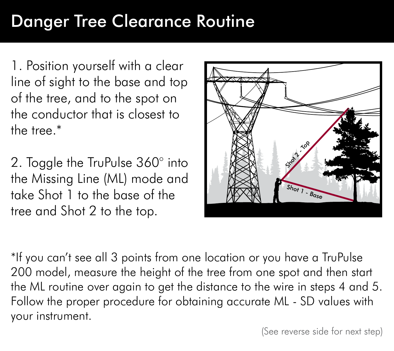## Danger Tree Clearance Routine

1. Position yourself with a clear line of sight to the base and top of the tree, and to the spot on the conductor that is closest to the tree.\*

2. Toggle the TruPulse 360° into the Missing Line (ML) mode and take Shot 1 to the base of the tree and Shot 2 to the top.



\*If you can't see all 3 points from one location or you have a TruPulse 200 model, measure the height of the tree from one spot and then start the ML routine over again to get the distance to the wire in steps 4 and 5. Follow the proper procedure for obtaining accurate ML - SD values with your instrument.